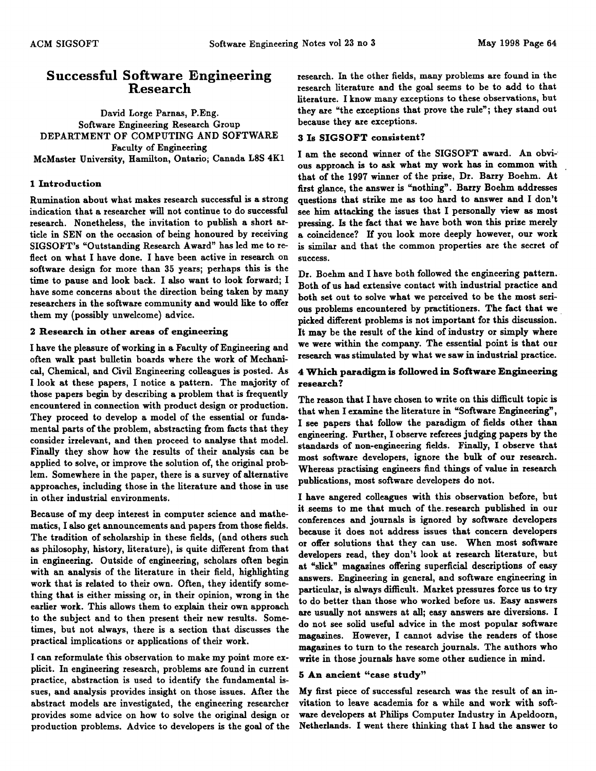# **Successful Software Engineering Research**

David Lorge Parnas, P.Eng. Software Engineering Research Group DEPARTMENT OF COMPUTING AND SOFTWARE Faculty of Engineering McMaster University, Hamilton, Ontario; Canada L8S 4K1

## 1 Introduction

Rumination about what makes research successful is a strong indication that a researcher will not continue to do successful research. Nonetheless, the invitation to publish a short article in SEN on the occasion of being honoured by receiving SIGSOFT's "Outstanding Research Award" has led me to reflect on what I have done. I have been active in research on software design for more than 35 years; perhaps this is the time to pause and look back. I also want to look forward; I have some concerns about the direction being taken by many researchers in the software community and would like to offer them my (possibly unwelcome) advice.

#### 2 Research in other areas of engineering

I have the pleasure of working in a Faculty of Engineering and often walk past bulletin boards where the work of Mechanical, Chemical, and Civil Engineering colleagues is posted. As I look at these papers, I notice a pattern. The majority of those papers begin by describing a problem that is frequently encountered in connection with product design or production. They proceed to develop a model of the essential or fundamental parts of the problem, abstracting from facts that they consider irrelevant, and then proceed to analyse that model. Finally they show how the results of their analysis can be applied to solve, or improve the solution of, the original problem. Somewhere in the paper, there is a survey of alternative approaches, including those in the literature and those in use in other industrial environments.

Because of my deep interest in computer science and mathematics, I also get announcements and papers from those fields. The tradition of scholarship in these fields, (and others such as philosophy, history, literature), is quite different from that in engineering. Outside of engineering, scholars often begin with an analysis of the literature in their field, highlighting work that is related to their own. Often, they identify something that is either missing or, in their opinion, wrong in the earlier work. This allows them to explain their own approach to the subject and to then present their new results. Sometimes, but not always, there is a section that discusses the practical implications or applications of their work.

I can reformulate this observation to make my point more explieit. In engineering research, problems are found in current practice, abstraction is used to identify the fundamental issues, and analysis provides insight on those issues. After the abstract models are investigated, the engineering researcher provides some advice on how to solve the original design or production problems. Advice to developers is the goal of the

research. In the other fields, many problems are found in the research literature and the goal seems to be to add to that literature. I know many exceptions to these observations, but they are "the exceptions that prove the rule"; they stand out because they are exceptions.

#### **3 Is SIGSOFT** consistent?

I am the second winner of the SIGSOFT award. An obvious approach is to ask what my work has in common with that of the 1997 winner of the prize, Dr. Barry Boehm. At first glance, the answer is "nothing". Barry Boehm addresses questions that strike me as too hard to answer and I don't see him attacking the issues that I personally view as most pressing. Is the fact that we have both won this prize merely a coincidence? If you look more deeply however, our work is similar and that the common properties are the secret of Success.

Dr. Boehm and I have both followed the engineering pattern. Both of us had extensive contact with industrial practice and both set out to solve what we perceived to be the most serious problems encountered by practitioners. The fact that we picked diferent problems is not important for this discussion. It may be the result of the kind of industry or simply where we were within the company. The essential point is that our research was stimulated by what we saw in industrial practice.

## 4 Which paradigm is followed in Software Engineering research?

The reason that I have chosen to write on this difficult topic is that when I examine the literature in "Software Engineering", I see papers that follow the paradigm of fields other than engineering. Further, I observe referees judging papers by the standards of non-engineering fields. Finally, I observe that most software developers, ignore the bulk of our research. Whereas practising engineers find things of value in research publications, most software developers do not.

I have angered colleagues with this observation before, but it seems to me that much of the research published in our conferences and journals is ignored by software developers because it does not address issues that concern developers or offer solutions that they can use. When most software developers read, they don't look at research literature, but at "slick" magazines offering superficial descriptions of easy answers. Engineering in general, and software engineering in particular, is always difficult. Market pressures force us to try to do better than those who worked before us. Easy answers are usually not answers at all; easy answers are diversions. I do not see solid useful advice in the most popular software magazines. However, I cannot advise the readers of those magazines to turn to the research journals. The authors who write in those journals have some other audience in mind.

## 5 An ancient "case study"

**My** first piece of successful research was the result of an invitation to leave academia for a while and work with software developers at Philips Computer Industry in Apeldoorn, Netherlands. I went there thinking that I had the answer to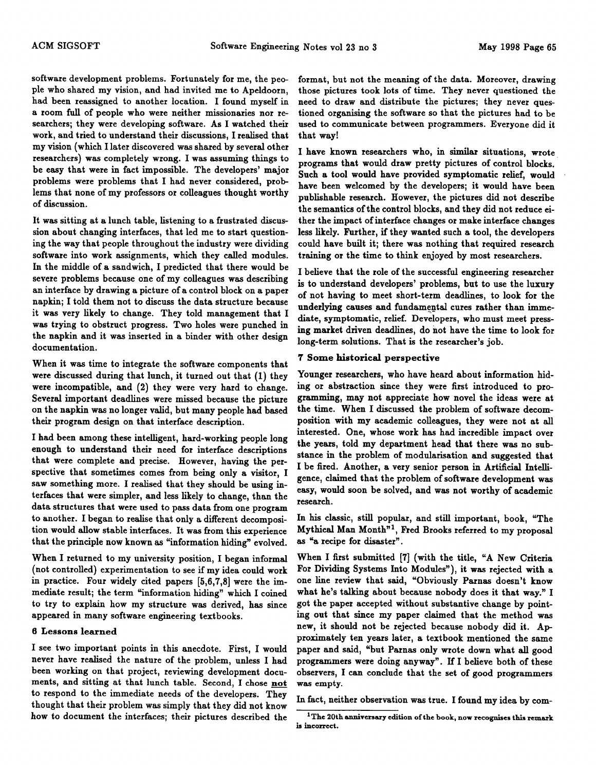software development problems. Fortunately for me, the people who shared my vision, and had invited me to Apeldoorn, had been reassigned to another location. I found myself in a room full of people who were neither missionaries nor researchers; they were developing software. As I watched their work, and tried to understand their discussions, I realised that my vision (which I later discovered was shared by several other researchers) was completely wrong. I was assuming things to be easy that were in fact impossible. The developers' major problems were problems that I had never considered, problems that none of my professors or colleagues thought worthy of discussion.

It was sitting at a lunch table, listening to a frustrated discussion about changing interfaces, that led me to start questioning the way that people throughout the industry were dividing software into work assignments, which they called modules. In the middle of a sandwich, I predicted that there would be severe problems because one of my colleagues was describing an interface by drawing a picture of a control block on a paper napkin; I told them not to discuss the data structure because it was very likely to change. They told management that I was trying to obstruct progress. Two holes were punched in the napkin and it was inserted in a binder with other design documentation.

When it was time to integrate the software components that were discussed during that lunch, it turned out that (1) they were incompatible, and (2) they were very hard to change. Several important deadlines were missed because the picture on the napkin was no longer valid, but many people had based their program design on that interface description.

I had been among these intelligent, hard-working people long enough to understand their need for interface descriptions that were complete and precise. However, having the perspective that sometimes comes from being only a visitor, I saw something more. I realised that they should be using interfaces that were simpler, and less likely to change, than the data structures that were used to pass data from one program to another. I began to realise that only a different decomposition would allow stable interfaces. It was from this experience that the principle now known as "information hiding" evolved.

When I returned to my university position, I began informal (not controlled) experimentation to see if my idea could work in practice. Four widely cited papers [5,6,7,8] were the immediate result; the term "information hiding" which I coined to try to explain how my structure was derived, has since appeared in many software engineering textbooks.

#### 6 Lessons learned

I see two important points in this anecdote. First, I would never have realised the nature of the problem, unless I had been working on that project, reviewing development documents, and sitting at that lunch table. Second, I chose **not**  to respond to the immediate needs of the developers. They thought that their problem was simply that they did not know how to document the interfaces; their pictures described the

format, but not the meaning of the data. Moreover, drawing those pictures took lots of time. They never questioned the need to draw and distribute the pictures; they never questioned organising the software so that the pictures had to be used to communicate between programmers. Everyone did it that way!

I have known researchers who, in similar situations, wrote programs that would draw pretty pictures of control blocks. Such a tool would have provided symptomatic relief, would have been welcomed by the developers; it would have been publishable research. However, the pictures did not describe the semantics of the control blocks, and they did not reduce either the impact of interface changes or make interface changes less likely. Further, if they wanted such a tool, the developers could have built it; there was nothing that required research training or the time to think enjoyed by most researchers.

I believe that the role of the successful engineering researcher is to understand developers' problems, but to use the luxury of not having to meet short-term deadlines, to look for the underlying causes and fundamental cures rather than immediate, symptomatic, relief. Developers, who must meet pressing market driven deadlines, do not have the time to look for long-term solutions. That is the researcher's job.

## 7 Some historical perspective

Younger researchers, who have heard about information hiding or abstraction since they were first introduced to programming, may not appreciate how novel the ideas were at the time. When I discussed the problem of software decomposition with my academic colleagues, they were not at all interested. One, whose work has had incredible impact over the years, told my department head that there was no substance in the problem of modularisation and suggested that I be fired. Another, a very senior person in Artificial Intelligence, claimed that the problem of software development was easy, would soon be solved, and was not worthy of academic research.

In his classic, still popular, and still important, book, "The Mythical Man Month"<sup>1</sup>, Fred Brooks referred to my proposal as "a recipe for disaster".

When I first submitted [7] (with the title, "A New Criteria For Dividing Systems Into Modules"), it was rejected with a one line review that said, "Obviously Parnas doesn't know what he's talking about because nobody does it that way." I got the paper accepted without substantive change by pointing out that since my paper claimed that the method was new, it should not be rejected because nobody did it. Approximately ten years later, a textbook mentioned the same paper and said, "but Parnas only wrote down what all good programmers were doing anyway". If I believe both of these observers, I can conclude that the set of good programmers was empty.

In fact, neither observation was true. I found my idea by com-

<sup>&</sup>lt;sup>1</sup> The 20th anniversary edition of the book, now recognises this remark is incorrect.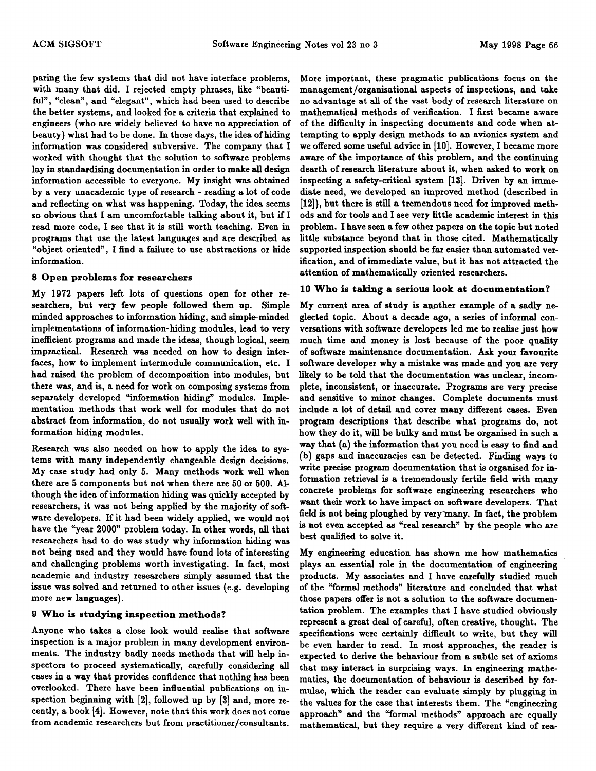paring the few systems that did not have interface problems, with many that did. I rejected empty phrases, like "beautiful", "clean", and "elegant", which had been used to describe the better systems, and looked for a criteria that explained to engineers (who are widely believed to have no appreciation of beauty) what had to be done. In those days, the idea of hiding information was considered subversive. The company that I worked with thought that the solution to software problems lay in standaxdising documentation in order to make all design information accessible to everyone. My insight was obtained by a very unacademic type of research - reading a lot of code and reflecting on what was happening. Today, the idea seems so obvious that I am uncomfortable talking about it, but if I read more code, I see that it is still worth teaching. Even in programs that use the latest languages and are described as "object oriented", I find a failure to use abstractions or hide information.

#### 8 Open problems for researchers

My 1972 papers left lots of questions open for other researchers, but very few people followed them up. Simple minded approaches to information hiding, and simple-minded implementations of information-hiding modules, lead to very inefficient programs and made the ideas, though logical, seem impractical. Research was needed on how to design interfaces, how to implement intermodule communication, etc. I had raised the problem of decomposition into modules, but there was, and is, a need for work on composing systems from separately developed "information hiding" modules. Implementation methods that work well for modules that do not abstract from information, do not usually work well with information hiding modules.

Research was also needed on how to apply the idea to systems with many independently changeable design decisions. My case study had only 5. Many methods work well when there are 5 components but not when there are 50 or 500. Although the idea of information hiding was quickly accepted by researchers, it was not being applied by the majority of software developers. If it had been widely applied, we would not have the "year 2000" problem today. In other words, all that researchers had to do was study why information hiding was not being used and they would have found lots of interesting and challenging problems worth investigating. In fact, most academic and industry researchers simply assumed that the issue was solved and returned to other issues (e.g. developing more new languages).

#### 9 Who is studying inspection methods?

Anyone who takes a close look would reallse that software inspection is a major problem in many development environments. The industry badly needs methods that will help inspectors to proceed systematically, carefully considering all cases in a way that provides confidence that nothing has been overlooked. There have been influential publications on inspection beginning with [2], followed up by [3] and, more recently, a book [4]. However, note that this work does not come from academic researchers but from practitioner/consultants.

More important, these pragmatic publications focus on the management/organisational aspects of inspections, and take no advantage at all of the vast body of research literature on mathematical methods of verification. I first became aware of the difficulty in inspecting documents and code when attempting to apply design methods to an avionics system and we offered some useful advice in [10]. However, I became more aware of the importance of this problem, and the continuing dearth of research literature about it, when asked to work on inspecting a safety-critical system [13]. Driven by an immediate need, we developed an improved method (described in [12]), but there is still a tremendous need for improved methods and for tools and I see very little academic interest in this problem. I have seen a few other papers on the topic but noted little substance beyond that in those cited. Mathematically supported inspection should be far easier than automated verification, and of immediate value, but it has not attracted the attention of mathematically oriented researchers.

## 10 Who is taking a serious look at documentation?

My current area of study is another example of a sadly neglected topic. About a decade ago, a series of informal conversations with software developers led me to realise just how much time and money is lost because of the poor quality of software maintenance documentation. Ask your favourite software developer why a mistake was made and you are very likely to be told that the documentation was unclear, incomplete, inconsistent, or inaccurate. Programs are very precise and sensitive to minor changes. Complete documents must include a lot of detail and cover many different cases. Even program descriptions that describe what programs do, not how they do it, will be bulky and must be organised in such a way that (a) the information that you need is easy to find and (b) gaps and inaccuracies can be detected. Finding ways to write precise program documentation that is organised for information retrieval is a tremendously fertile field with many concrete problems for software engineering researchers who want their work to have impact on software developers. That field is not being ploughed by very many. In fact, the problem is not even accepted as "real research" by the people who are best qualified to solve it.

My engineering education has shown me how mathematics plays an essential role in the documentation of engineering products. My associates and I have carefully studied much of the "formal methods" literature and concluded that what those papers offer is not a solution to the software documentation problem. The examples that I have studied obviously represent a great deal of careful, often creative, thought. The specifications were certainly difficult to write, but they will be even harder to read. In most approaches, the reader is expected to derive the behaviour from a subtle set of axioms that may interact in surprising ways. In engineering mathematics, the documentation of behaviour is described by formulae, which the reader can evaluate simply by plugging in the values for the case that interests them. The "engineering approach" and the "formal methods" approach are equally mathematical, but they require a very different kind of rea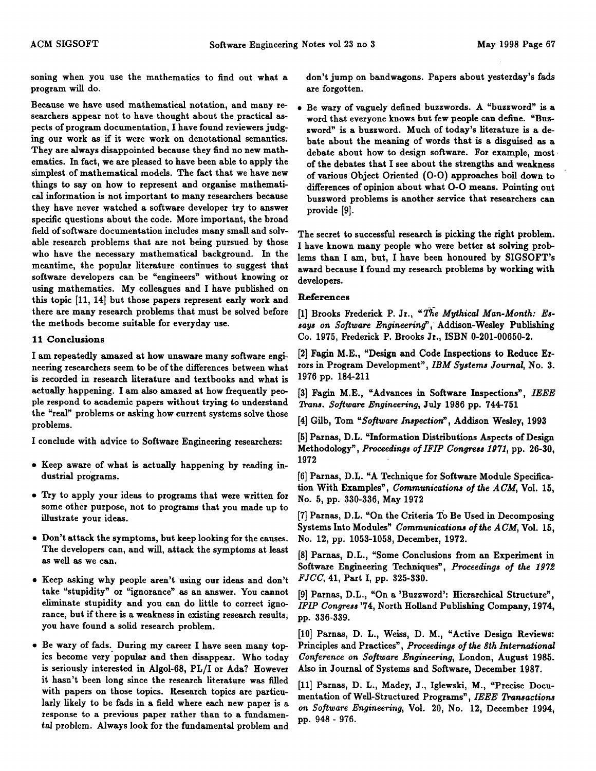soning when you use the mathematics to find out what a program will do.

Because we have used mathematical notation, and many researchers appear not to have thought about the practical aspects of program documentation, I have found reviewers judging our work as if it were work on denotational semantics. They are always disappointed because they find no new mathematics. In fact, we are pleased to have been able to apply the simplest of mathematical models. The fact that we have new things to say on how to represent and organise mathematical information is not important to many reseatchers because they have never watched a software developer try to answer specific questions about the code. More important, the broad field of software documentation includes many small and solvable research problems that are not being pursued by those who have the necessary mathematical background. In the meantime, the popular literature continues to suggest that software developers can be "engineers" without knowing or using mathematics. My colleagues and I have published on this topic [11, 14] but those papers represent early work and there are many research problems that must be solved before the methods become suitable for everyday use.

## **<sup>11</sup>**Conclusions

I am repeatedly amazed at how unaware many software engineering researchers seem to be of the differences between what is recorded in research literature and textbooks and what is actually happening. I am also amazed at how frequently people respond to academic papers without trying to understand the "real" problems or asking how current systems solve those problems.

I conclude with advice to Software Engineering researchers:

- Keep aware of what is actually happening by reading industrial programs.
- Try to apply your ideas to programs that were written for some other purpose, not to programs that you made up to illustrate your ideas.
- Don't attack the symptoms, but keep looking for the causes. The developers can, and will, attack the symptoms at least as well as we can.
- Keep asking why people aren't using our ideas and don't take "stupidity" or "ignorance" as an answer. You cannot eliminate stupidity and you can do little to correct ignorance, but if there is a weakness in existing research results, you have found a solid research problem.
- Be wary of fads.. During my career I have seen many topics become very populat and then disappear. Who today is seriously interested in Algol-68, PL/I or Ada? However it hasn't been long since the research literature was filled with papers on those topics. Research topics are particularly likely to be fads in a field where each new paper is a response to a previous paper rather than to a fundamental problem. Always look for the fundamental problem and

don't jump on bandwagons. Papers about yesterday's fads are forgotten.

Be wary of vaguely defined buzzwords. A "buzzword" is a word that everyone knows but few people can define. "Buzzword" is a buzzword. Much of today's literature is a debate about the meaning of words that is a disguised as a debate about how to design software. For example, most of the debates that I see about the strengths and weakness of various Object Oriented (O-O) approaches boil down to differences of opinion about what O-O means. Pointing out buzzword problems is another service that reseatchers can provide [9].

The secret to successful reseatch is picking the right problem. I have known many people who were better at solving problems than I am, but, I have been honoured by SIGSOFT's award because I found my research problems by working with developers.

#### **References**

[1] Brooks Frederick P. Jr., "The *Mythical Man-Month: Essays on Software Engineering",* Addison-Wesley Publishing Co. 1975, Frederick P. Brooks Jz., ISBN 0-201-00650-2.

[2] Fagin M.E., "Design and Code Inspections to Reduce Errors in Program Development", *IBM Systems Journal,* No. 3. 1976 pp. 184-211

[3] Fagin M.E., "Advances in Software Inspections", *IEEE Trans. Software Engineering,* July 1986 pp. 744-751

[4] Gilb, Tom *"Software Inspection",* Addison Wesley, 1993

[5] Patnas, D.L. "Information Distributions Aspects of Design Methodology", *Proceedings of IFIP Congress 1971,* pp. 26-30, 1972

[6] Patnas, D.L. "A Technique for Software Module Specification With Examples", *Communications of the ACM,* Vol. 15, No. 5, pp. 330-336, May 1972

[7] Patnas, D.L. "On the Criteria To Be Used in Decomposing Systems Into Modules" *Communications of the ACM,* Vol. 15, No. 12, pp. 1053-1058, December, 1972.

[8] Patnas, D.L., "Some Conclusions from an Experiment in Software Engineering Techniques", Proceedings of the 1972 *FJCC,* 41, Part I, pp. 325-330.

[9] Patnas, D.L., "On a 'Buzzword': Hierarchical Structure", *IFIP Congress* '74, North Holland Publishing Company, 1974, pp. 336-339.

[10] Parnas, D. L., Weiss, D. M., "Active Design Reviews: Principles and Practices", *Proceedings of the 8th International Conference on Software Engineering,* London, August 1985. Also in Journal of Systems and Software, December 1987.

[11] Paxnas, D. L., Madey, J., Igiewski, M., "Precise Documentation of Well-Structured Programs", *IEEE Transactions on Software Engineering,* Vol. 20, No. 12, December 1994, pp. 948 **-** 976.